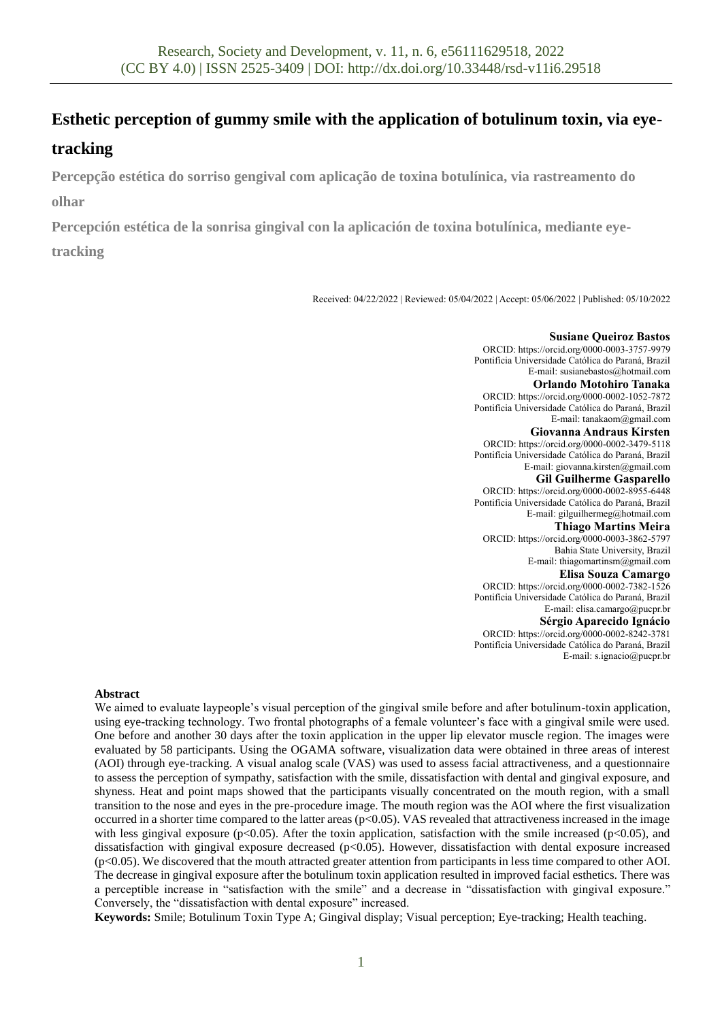# **Esthetic perception of gummy smile with the application of botulinum toxin, via eye-**

## **tracking**

**Percepção estética do sorriso gengival com aplicação de toxina botulínica, via rastreamento do olhar**

**Percepción estética de la sonrisa gingival con la aplicación de toxina botulínica, mediante eyetracking**

Received: 04/22/2022 | Reviewed: 05/04/2022 | Accept: 05/06/2022 | Published: 05/10/2022

#### **Susiane Queiroz Bastos**

ORCID: https://orcid.org/0000-0003-3757-9979 Pontifícia Universidade Católica do Paraná, Brazil E-mail: susianebastos@hotmail.com

**Orlando Motohiro Tanaka**

ORCID: https://orcid.org/0000-0002-1052-7872 Pontifícia Universidade Católica do Paraná, Brazil E-mail: tanakaom@gmail.com

**Giovanna Andraus Kirsten**

ORCID: https://orcid.org/0000-0002-3479-5118 Pontifícia Universidade Católica do Paraná, Brazil E-mail: giovanna.kirsten@gmail.com

**Gil Guilherme Gasparello**

ORCID: https://orcid.org/0000-0002-8955-6448 Pontifícia Universidade Católica do Paraná, Brazil E-mail: gilguilhermeg@hotmail.com

**Thiago Martins Meira**

ORCID: https://orcid.org/0000-0003-3862-5797 Bahia State University, Brazil E-mail: thiagomartinsm@gmail.com

#### **Elisa Souza Camargo**

ORCID[: https://orcid.org/0000-0002-7382-1526](https://orcid.org/0000-0002-7382-1526) Pontifícia Universidade Católica do Paraná, Brazil E-mail: elisa.camargo@pucpr.br **Sérgio Aparecido Ignácio**

ORCID: https://orcid.org/0000-0002-8242-3781 Pontifícia Universidade Católica do Paraná, Brazil E-mail: s.ignacio@pucpr.br

#### **Abstract**

We aimed to evaluate laypeople's visual perception of the gingival smile before and after botulinum-toxin application, using eye-tracking technology. Two frontal photographs of a female volunteer's face with a gingival smile were used. One before and another 30 days after the toxin application in the upper lip elevator muscle region. The images were evaluated by 58 participants. Using the OGAMA software, visualization data were obtained in three areas of interest (AOI) through eye-tracking. A visual analog scale (VAS) was used to assess facial attractiveness, and a questionnaire to assess the perception of sympathy, satisfaction with the smile, dissatisfaction with dental and gingival exposure, and shyness. Heat and point maps showed that the participants visually concentrated on the mouth region, with a small transition to the nose and eyes in the pre-procedure image. The mouth region was the AOI where the first visualization occurred in a shorter time compared to the latter areas  $(p<0.05)$ . VAS revealed that attractiveness increased in the image with less gingival exposure (p<0.05). After the toxin application, satisfaction with the smile increased (p<0.05), and dissatisfaction with gingival exposure decreased (p<0.05). However, dissatisfaction with dental exposure increased (p<0.05). We discovered that the mouth attracted greater attention from participants in less time compared to other AOI. The decrease in gingival exposure after the botulinum toxin application resulted in improved facial esthetics. There was a perceptible increase in "satisfaction with the smile" and a decrease in "dissatisfaction with gingival exposure." Conversely, the "dissatisfaction with dental exposure" increased.

**Keywords:** Smile; Botulinum Toxin Type A; Gingival display; Visual perception; Eye-tracking; Health teaching.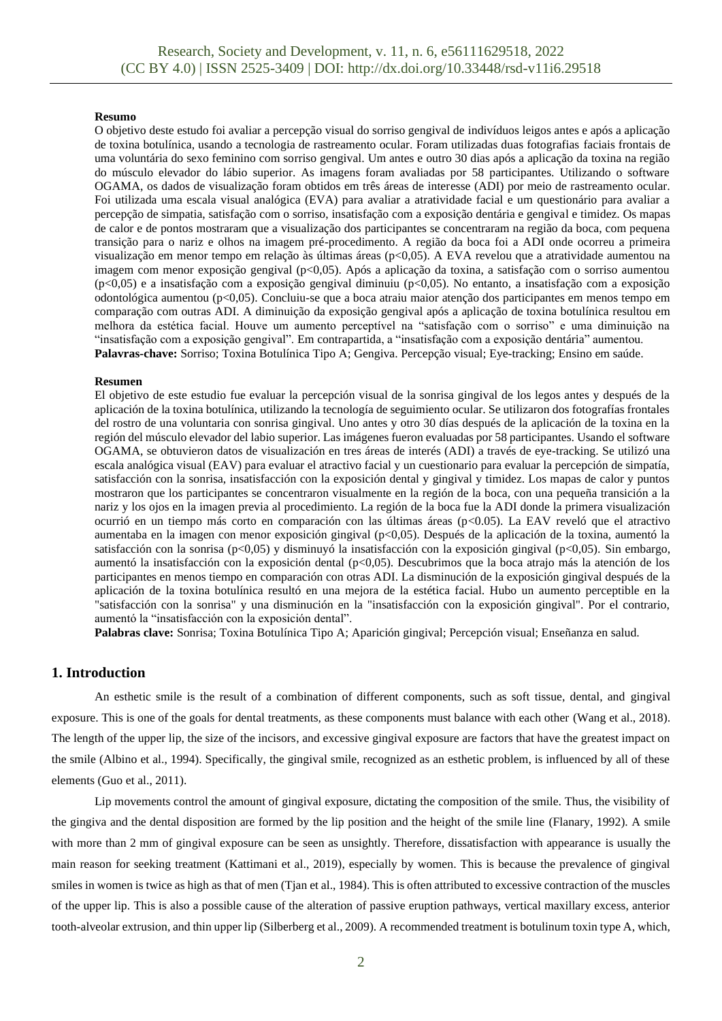#### **Resumo**

O objetivo deste estudo foi avaliar a percepção visual do sorriso gengival de indivíduos leigos antes e após a aplicação de toxina botulínica, usando a tecnologia de rastreamento ocular. Foram utilizadas duas fotografias faciais frontais de uma voluntária do sexo feminino com sorriso gengival. Um antes e outro 30 dias após a aplicação da toxina na região do músculo elevador do lábio superior. As imagens foram avaliadas por 58 participantes. Utilizando o software OGAMA, os dados de visualização foram obtidos em três áreas de interesse (ADI) por meio de rastreamento ocular. Foi utilizada uma escala visual analógica (EVA) para avaliar a atratividade facial e um questionário para avaliar a percepção de simpatia, satisfação com o sorriso, insatisfação com a exposição dentária e gengival e timidez. Os mapas de calor e de pontos mostraram que a visualização dos participantes se concentraram na região da boca, com pequena transição para o nariz e olhos na imagem pré-procedimento. A região da boca foi a ADI onde ocorreu a primeira visualização em menor tempo em relação às últimas áreas (p<0,05). A EVA revelou que a atratividade aumentou na imagem com menor exposição gengival (p<0,05). Após a aplicação da toxina, a satisfação com o sorriso aumentou (p<0,05) e a insatisfação com a exposição gengival diminuiu (p<0,05). No entanto, a insatisfação com a exposição odontológica aumentou (p<0,05). Concluiu-se que a boca atraiu maior atenção dos participantes em menos tempo em comparação com outras ADI. A diminuição da exposição gengival após a aplicação de toxina botulínica resultou em melhora da estética facial. Houve um aumento perceptível na "satisfação com o sorriso" e uma diminuição na "insatisfação com a exposição gengival". Em contrapartida, a "insatisfação com a exposição dentária" aumentou. **Palavras-chave:** Sorriso; Toxina Botulínica Tipo A; Gengiva. Percepção visual; Eye-tracking; Ensino em saúde.

#### **Resumen**

El objetivo de este estudio fue evaluar la percepción visual de la sonrisa gingival de los legos antes y después de la aplicación de la toxina botulínica, utilizando la tecnología de seguimiento ocular. Se utilizaron dos fotografías frontales del rostro de una voluntaria con sonrisa gingival. Uno antes y otro 30 días después de la aplicación de la toxina en la región del músculo elevador del labio superior. Las imágenes fueron evaluadas por 58 participantes. Usando el software OGAMA, se obtuvieron datos de visualización en tres áreas de interés (ADI) a través de eye-tracking. Se utilizó una escala analógica visual (EAV) para evaluar el atractivo facial y un cuestionario para evaluar la percepción de simpatía, satisfacción con la sonrisa, insatisfacción con la exposición dental y gingival y timidez. Los mapas de calor y puntos mostraron que los participantes se concentraron visualmente en la región de la boca, con una pequeña transición a la nariz y los ojos en la imagen previa al procedimiento. La región de la boca fue la ADI donde la primera visualización ocurrió en un tiempo más corto en comparación con las últimas áreas (p<0.05). La EAV reveló que el atractivo aumentaba en la imagen con menor exposición gingival (p<0,05). Después de la aplicación de la toxina, aumentó la satisfacción con la sonrisa (p<0,05) y disminuyó la insatisfacción con la exposición gingival (p<0,05). Sin embargo, aumentó la insatisfacción con la exposición dental (p<0,05). Descubrimos que la boca atrajo más la atención de los participantes en menos tiempo en comparación con otras ADI. La disminución de la exposición gingival después de la aplicación de la toxina botulínica resultó en una mejora de la estética facial. Hubo un aumento perceptible en la "satisfacción con la sonrisa" y una disminución en la "insatisfacción con la exposición gingival". Por el contrario, aumentó la "insatisfacción con la exposición dental".

**Palabras clave:** Sonrisa; Toxina Botulínica Tipo A; Aparición gingival; Percepción visual; Enseñanza en salud.

## **1. Introduction**

An esthetic smile is the result of a combination of different components, such as soft tissue, dental, and gingival exposure. This is one of the goals for dental treatments, as these components must balance with each other (Wang et al., 2018). The length of the upper lip, the size of the incisors, and excessive gingival exposure are factors that have the greatest impact on the smile (Albino et al., 1994). Specifically, the gingival smile, recognized as an esthetic problem, is influenced by all of these elements (Guo et al., 2011).

Lip movements control the amount of gingival exposure, dictating the composition of the smile. Thus, the visibility of the gingiva and the dental disposition are formed by the lip position and the height of the smile line (Flanary, 1992). A smile with more than 2 mm of gingival exposure can be seen as unsightly. Therefore, dissatisfaction with appearance is usually the main reason for seeking treatment (Kattimani et al., 2019), especially by women. This is because the prevalence of gingival smiles in women is twice as high as that of men (Tjan et al., 1984). This is often attributed to excessive contraction of the muscles of the upper lip. This is also a possible cause of the alteration of passive eruption pathways, vertical maxillary excess, anterior tooth-alveolar extrusion, and thin upper lip (Silberberg et al., 2009). A recommended treatment is botulinum toxin type A, which,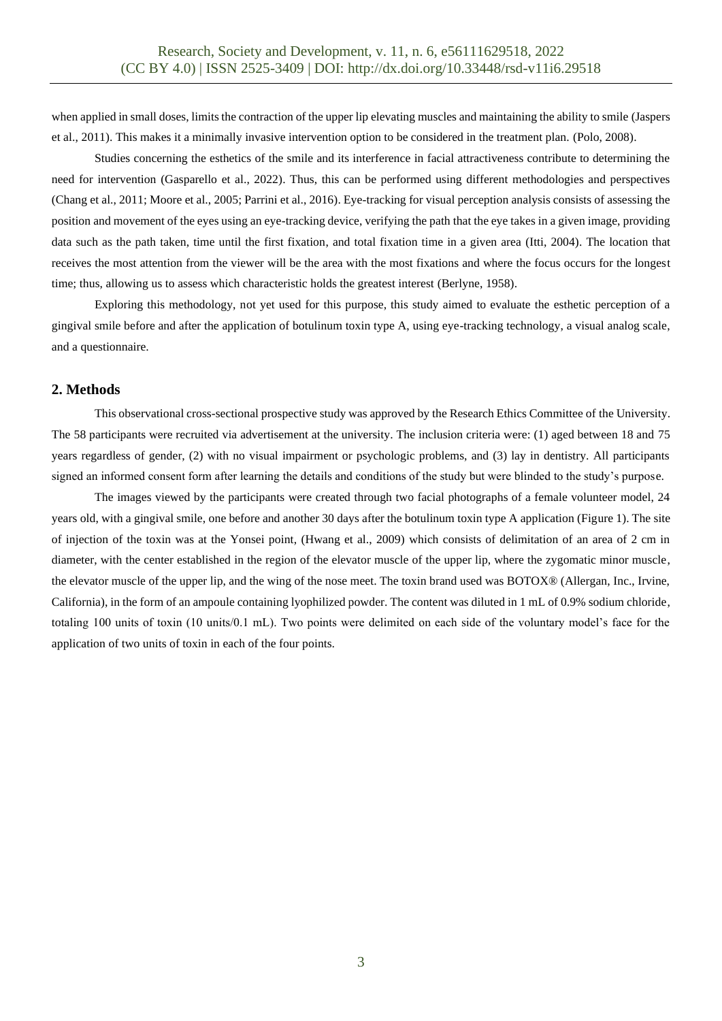when applied in small doses, limits the contraction of the upper lip elevating muscles and maintaining the ability to smile (Jaspers et al., 2011). This makes it a minimally invasive intervention option to be considered in the treatment plan. (Polo, 2008).

Studies concerning the esthetics of the smile and its interference in facial attractiveness contribute to determining the need for intervention (Gasparello et al., 2022). Thus, this can be performed using different methodologies and perspectives (Chang et al., 2011; Moore et al., 2005; Parrini et al., 2016). Eye-tracking for visual perception analysis consists of assessing the position and movement of the eyes using an eye-tracking device, verifying the path that the eye takes in a given image, providing data such as the path taken, time until the first fixation, and total fixation time in a given area (Itti, 2004). The location that receives the most attention from the viewer will be the area with the most fixations and where the focus occurs for the longest time; thus, allowing us to assess which characteristic holds the greatest interest (Berlyne, 1958).

Exploring this methodology, not yet used for this purpose, this study aimed to evaluate the esthetic perception of a gingival smile before and after the application of botulinum toxin type A, using eye-tracking technology, a visual analog scale, and a questionnaire.

## **2. Methods**

This observational cross-sectional prospective study was approved by the Research Ethics Committee of the University. The 58 participants were recruited via advertisement at the university. The inclusion criteria were: (1) aged between 18 and 75 years regardless of gender, (2) with no visual impairment or psychologic problems, and (3) lay in dentistry. All participants signed an informed consent form after learning the details and conditions of the study but were blinded to the study's purpose.

The images viewed by the participants were created through two facial photographs of a female volunteer model, 24 years old, with a gingival smile, one before and another 30 days after the botulinum toxin type A application (Figure 1). The site of injection of the toxin was at the Yonsei point, (Hwang et al., 2009) which consists of delimitation of an area of 2 cm in diameter, with the center established in the region of the elevator muscle of the upper lip, where the zygomatic minor muscle, the elevator muscle of the upper lip, and the wing of the nose meet. The toxin brand used was BOTOX® (Allergan, Inc., Irvine, California), in the form of an ampoule containing lyophilized powder. The content was diluted in 1 mL of 0.9% sodium chloride, totaling 100 units of toxin (10 units/0.1 mL). Two points were delimited on each side of the voluntary model's face for the application of two units of toxin in each of the four points.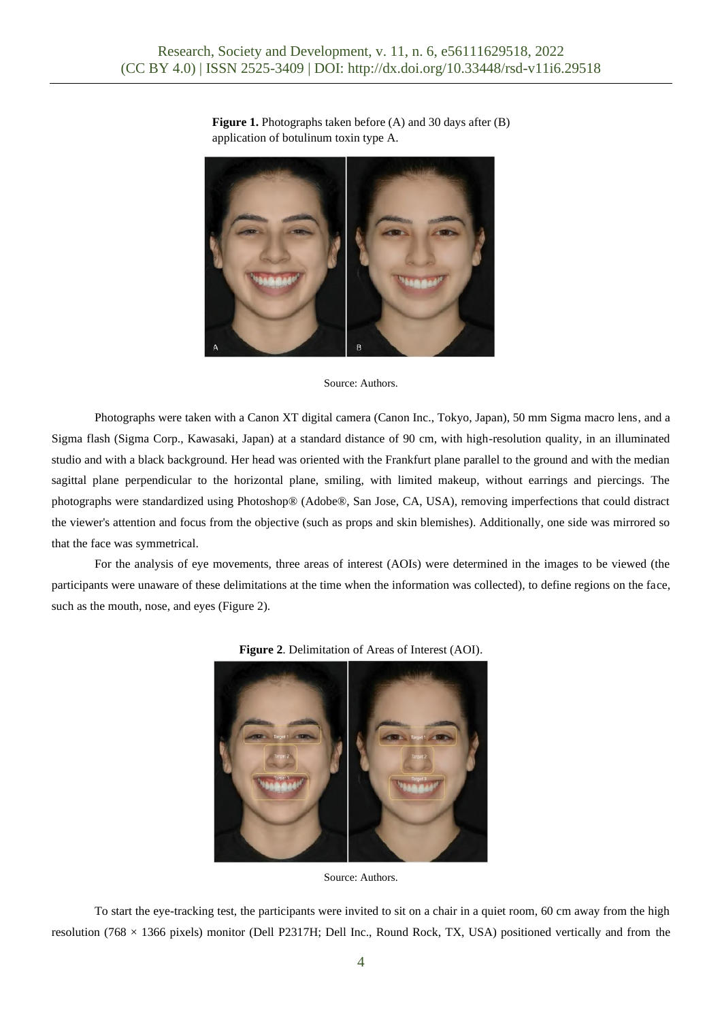

**Figure 1.** Photographs taken before (A) and 30 days after (B) application of botulinum toxin type A.

#### Source: Authors.

Photographs were taken with a Canon XT digital camera (Canon Inc., Tokyo, Japan), 50 mm Sigma macro lens, and a Sigma flash (Sigma Corp., Kawasaki, Japan) at a standard distance of 90 cm, with high-resolution quality, in an illuminated studio and with a black background. Her head was oriented with the Frankfurt plane parallel to the ground and with the median sagittal plane perpendicular to the horizontal plane, smiling, with limited makeup, without earrings and piercings. The photographs were standardized using Photoshop® (Adobe®, San Jose, CA, USA), removing imperfections that could distract the viewer's attention and focus from the objective (such as props and skin blemishes). Additionally, one side was mirrored so that the face was symmetrical.

For the analysis of eye movements, three areas of interest (AOIs) were determined in the images to be viewed (the participants were unaware of these delimitations at the time when the information was collected), to define regions on the face, such as the mouth, nose, and eyes (Figure 2).



**Figure 2**. Delimitation of Areas of Interest (AOI).

To start the eye-tracking test, the participants were invited to sit on a chair in a quiet room, 60 cm away from the high resolution (768  $\times$  1366 pixels) monitor (Dell P2317H; Dell Inc., Round Rock, TX, USA) positioned vertically and from the

Source: Authors.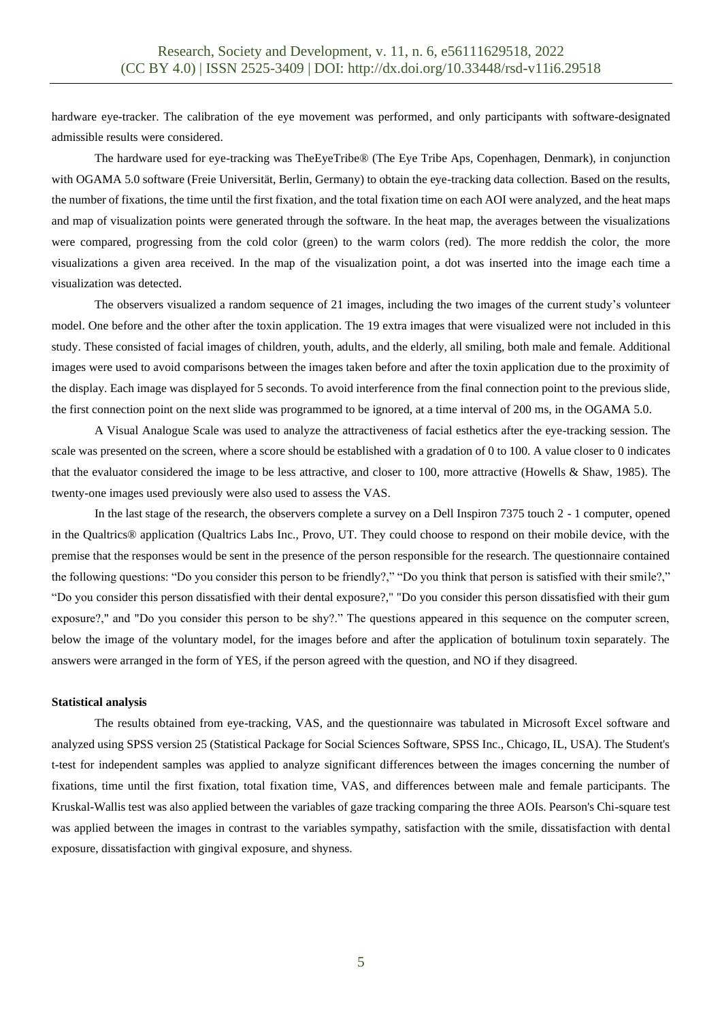hardware eye-tracker. The calibration of the eye movement was performed, and only participants with software-designated admissible results were considered.

The hardware used for eye-tracking was TheEyeTribe® (The Eye Tribe Aps, Copenhagen, Denmark), in conjunction with OGAMA 5.0 software (Freie Universität, Berlin, Germany) to obtain the eye-tracking data collection. Based on the results, the number of fixations, the time until the first fixation, and the total fixation time on each AOI were analyzed, and the heat maps and map of visualization points were generated through the software. In the heat map, the averages between the visualizations were compared, progressing from the cold color (green) to the warm colors (red). The more reddish the color, the more visualizations a given area received. In the map of the visualization point, a dot was inserted into the image each time a visualization was detected.

The observers visualized a random sequence of 21 images, including the two images of the current study's volunteer model. One before and the other after the toxin application. The 19 extra images that were visualized were not included in this study. These consisted of facial images of children, youth, adults, and the elderly, all smiling, both male and female. Additional images were used to avoid comparisons between the images taken before and after the toxin application due to the proximity of the display. Each image was displayed for 5 seconds. To avoid interference from the final connection point to the previous slide, the first connection point on the next slide was programmed to be ignored, at a time interval of 200 ms, in the OGAMA 5.0.

A Visual Analogue Scale was used to analyze the attractiveness of facial esthetics after the eye-tracking session. The scale was presented on the screen, where a score should be established with a gradation of 0 to 100. A value closer to 0 indicates that the evaluator considered the image to be less attractive, and closer to 100, more attractive (Howells & Shaw, 1985). The twenty-one images used previously were also used to assess the VAS.

In the last stage of the research, the observers complete a survey on a Dell Inspiron 7375 touch 2 - 1 computer, opened in the Qualtrics® application (Qualtrics Labs Inc., Provo, UT. They could choose to respond on their mobile device, with the premise that the responses would be sent in the presence of the person responsible for the research. The questionnaire contained the following questions: "Do you consider this person to be friendly?," "Do you think that person is satisfied with their smile?," "Do you consider this person dissatisfied with their dental exposure?," "Do you consider this person dissatisfied with their gum exposure?," and "Do you consider this person to be shy?." The questions appeared in this sequence on the computer screen, below the image of the voluntary model, for the images before and after the application of botulinum toxin separately. The answers were arranged in the form of YES, if the person agreed with the question, and NO if they disagreed.

#### **Statistical analysis**

The results obtained from eye-tracking, VAS, and the questionnaire was tabulated in Microsoft Excel software and analyzed using SPSS version 25 (Statistical Package for Social Sciences Software, SPSS Inc., Chicago, IL, USA). The Student's t-test for independent samples was applied to analyze significant differences between the images concerning the number of fixations, time until the first fixation, total fixation time, VAS, and differences between male and female participants. The Kruskal-Wallis test was also applied between the variables of gaze tracking comparing the three AOIs. Pearson's Chi-square test was applied between the images in contrast to the variables sympathy, satisfaction with the smile, dissatisfaction with dental exposure, dissatisfaction with gingival exposure, and shyness.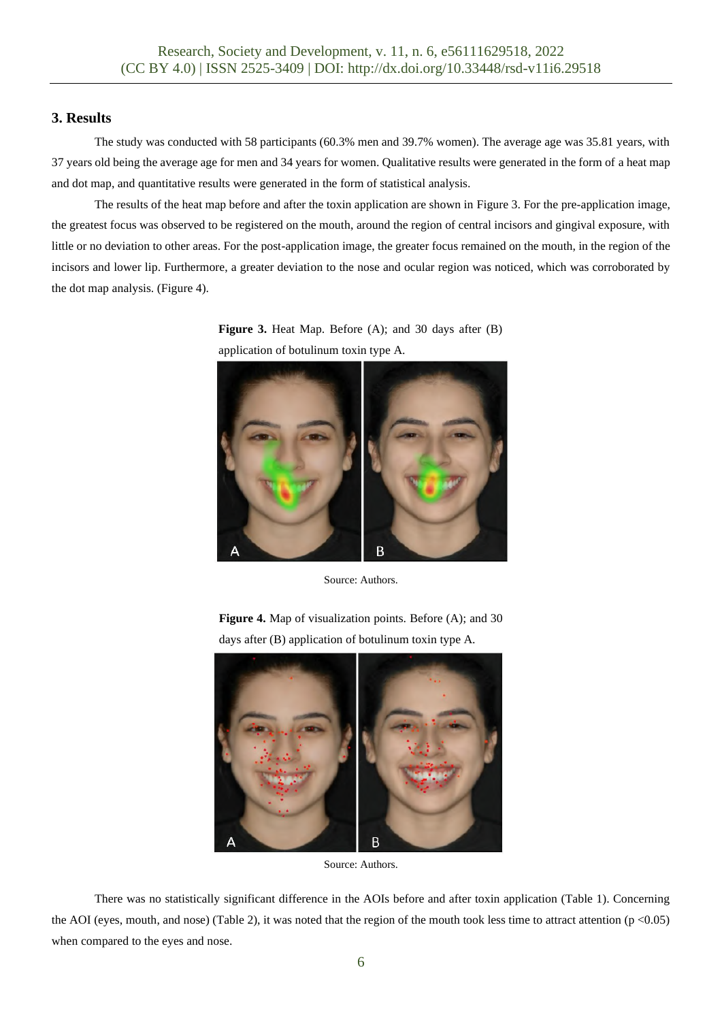## **3. Results**

The study was conducted with 58 participants (60.3% men and 39.7% women). The average age was 35.81 years, with 37 years old being the average age for men and 34 years for women. Qualitative results were generated in the form of a heat map and dot map, and quantitative results were generated in the form of statistical analysis.

The results of the heat map before and after the toxin application are shown in Figure 3. For the pre-application image, the greatest focus was observed to be registered on the mouth, around the region of central incisors and gingival exposure, with little or no deviation to other areas. For the post-application image, the greater focus remained on the mouth, in the region of the incisors and lower lip. Furthermore, a greater deviation to the nose and ocular region was noticed, which was corroborated by the dot map analysis. (Figure 4).

**Figure 3.** Heat Map. Before (A); and 30 days after (B) application of botulinum toxin type A.



Source: Authors.

**Figure 4.** Map of visualization points. Before (A); and 30 days after (B) application of botulinum toxin type A.





There was no statistically significant difference in the AOIs before and after toxin application (Table 1). Concerning the AOI (eyes, mouth, and nose) (Table 2), it was noted that the region of the mouth took less time to attract attention ( $p < 0.05$ ) when compared to the eyes and nose.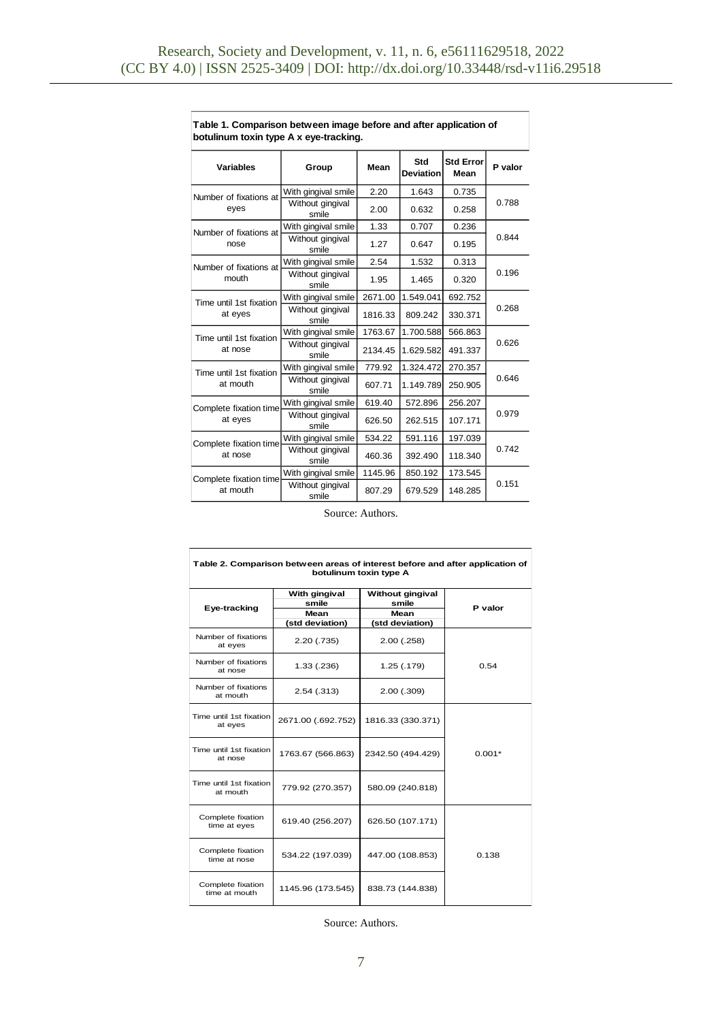| <b>Variables</b>                  | Group                     | Mean    | Std<br><b>Deviation</b> | <b>Std Error</b><br>Mean | P valor |  |  |
|-----------------------------------|---------------------------|---------|-------------------------|--------------------------|---------|--|--|
| Number of fixations at            | With gingival smile       | 2.20    | 1.643                   | 0.735                    |         |  |  |
| eyes                              | Without gingival<br>smile | 2.00    | 0.632                   | 0.258                    | 0.788   |  |  |
| Number of fixations at            | With gingival smile       | 1.33    | 0.707                   | 0.236                    |         |  |  |
| nose                              | Without gingival<br>smile | 1.27    | 0.647                   | 0.195                    | 0.844   |  |  |
| Number of fixations at            | With gingival smile       | 2.54    | 1.532                   | 0.313                    |         |  |  |
| mouth                             | Without gingival<br>smile | 1.95    | 1.465                   | 0.320                    | 0.196   |  |  |
| Time until 1st fixation           | With gingival smile       | 2671.00 | 1.549.041               | 692.752                  | 0.268   |  |  |
| at eyes                           | Without gingival<br>smile | 1816.33 | 809.242                 | 330.371                  |         |  |  |
| Time until 1st fixation           | With gingival smile       | 1763.67 | 1.700.588               | 566.863                  | 0.626   |  |  |
| at nose                           | Without gingival<br>smile | 2134.45 | 1.629.582               | 491.337                  |         |  |  |
| Time until 1st fixation           | With gingival smile       | 779.92  | 1.324.472               | 270.357                  | 0.646   |  |  |
| at mouth                          | Without gingival<br>smile | 607.71  | 1.149.789               | 250.905                  |         |  |  |
| Complete fixation time<br>at eyes | With gingival smile       | 619.40  | 572.896                 | 256.207                  |         |  |  |
|                                   | Without gingival<br>smile | 626.50  | 262.515                 | 107.171                  | 0.979   |  |  |
| Complete fixation time<br>at nose | With gingival smile       | 534.22  | 591.116                 | 197.039                  |         |  |  |
|                                   | Without gingival<br>smile | 460.36  | 392.490                 | 118.340                  | 0.742   |  |  |
| Complete fixation time            | With gingival smile       | 1145.96 | 850.192                 | 173.545                  | 0.151   |  |  |
| at mouth                          | Without gingival<br>smile | 807.29  | 679.529                 | 148.285                  |         |  |  |

**Table 1. Comparison between image before and after application of botulinum toxin type A x eye-tracking.** 

Source: Authors.

| Table 2. Comparison between areas of interest before and after application of<br>botulinum toxin type A |                                                   |                                |          |  |  |  |
|---------------------------------------------------------------------------------------------------------|---------------------------------------------------|--------------------------------|----------|--|--|--|
| Eye-tracking                                                                                            | With gingival<br>smile<br>Mean<br>(std deviation) |                                | P valor  |  |  |  |
| Number of fixations<br>at eyes                                                                          | 2.20(0.735)                                       | (std deviation)<br>2.00 (.258) |          |  |  |  |
| Number of fixations<br>at nose                                                                          | 1.33(.236)                                        | 1.25 (.179)                    | 0.54     |  |  |  |
| Number of fixations<br>at mouth                                                                         | 2.54(.313)                                        | $2.00$ $(.309)$                |          |  |  |  |
| Time until 1st fixation<br>at eyes                                                                      | 2671.00 (.692.752)                                | 1816.33 (330.371)              |          |  |  |  |
| Time until 1st fixation<br>at nose                                                                      | 1763.67 (566.863)                                 | 2342.50 (494.429)              | $0.001*$ |  |  |  |
| Time until 1st fixation<br>at mouth                                                                     | 779.92 (270.357)                                  | 580.09 (240.818)               |          |  |  |  |
| Complete fixation<br>time at eyes                                                                       | 619.40 (256.207)                                  | 626.50 (107.171)               |          |  |  |  |
| Complete fixation<br>time at nose                                                                       | 534.22 (197.039)                                  | 447.00 (108.853)               | 0.138    |  |  |  |
| Complete fixation<br>time at mouth                                                                      | 1145.96 (173.545)                                 | 838.73 (144.838)               |          |  |  |  |

Source: Authors.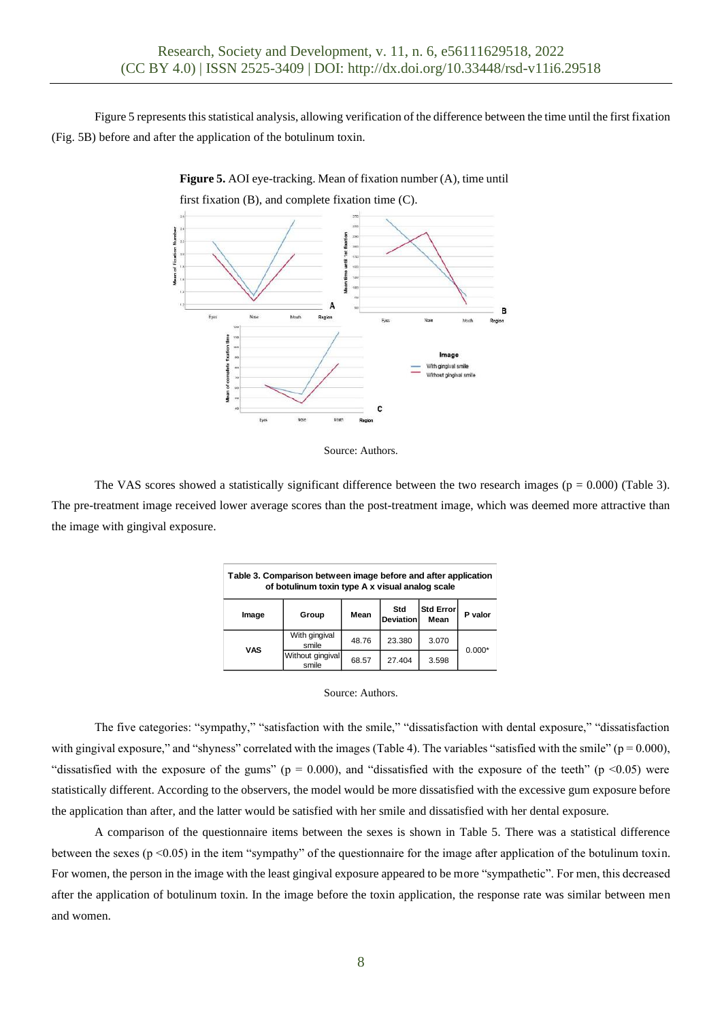Figure 5 represents this statistical analysis, allowing verification of the difference between the time until the first fixation (Fig. 5B) before and after the application of the botulinum toxin.

**Figure 5.** AOI eye-tracking. Mean of fixation number (A), time until

first fixation (B), and complete fixation time (C).







The VAS scores showed a statistically significant difference between the two research images ( $p = 0.000$ ) (Table 3). The pre-treatment image received lower average scores than the post-treatment image, which was deemed more attractive than the image with gingival exposure.

| Table 3. Comparison between image before and after application<br>of botulinum toxin type A x visual analog scale |                           |       |                  |                          |          |  |  |
|-------------------------------------------------------------------------------------------------------------------|---------------------------|-------|------------------|--------------------------|----------|--|--|
| Image                                                                                                             | Group                     | Mean  | Std<br>Deviation | <b>Std Error</b><br>Mean | P valor  |  |  |
| VAS                                                                                                               | With gingival<br>smile    | 48.76 | 23.380           | 3.070                    | $0.000*$ |  |  |
|                                                                                                                   | Without gingival<br>smile | 68.57 | 27.404           | 3.598                    |          |  |  |

#### Source: Authors.

The five categories: "sympathy," "satisfaction with the smile," "dissatisfaction with dental exposure," "dissatisfaction with gingival exposure," and "shyness" correlated with the images (Table 4). The variables "satisfied with the smile" ( $p = 0.000$ ), "dissatisfied with the exposure of the gums" ( $p = 0.000$ ), and "dissatisfied with the exposure of the teeth" ( $p \le 0.05$ ) were statistically different. According to the observers, the model would be more dissatisfied with the excessive gum exposure before the application than after, and the latter would be satisfied with her smile and dissatisfied with her dental exposure.

A comparison of the questionnaire items between the sexes is shown in Table 5. There was a statistical difference between the sexes (p <0.05) in the item "sympathy" of the questionnaire for the image after application of the botulinum toxin. For women, the person in the image with the least gingival exposure appeared to be more "sympathetic". For men, this decreased after the application of botulinum toxin. In the image before the toxin application, the response rate was similar between men and women.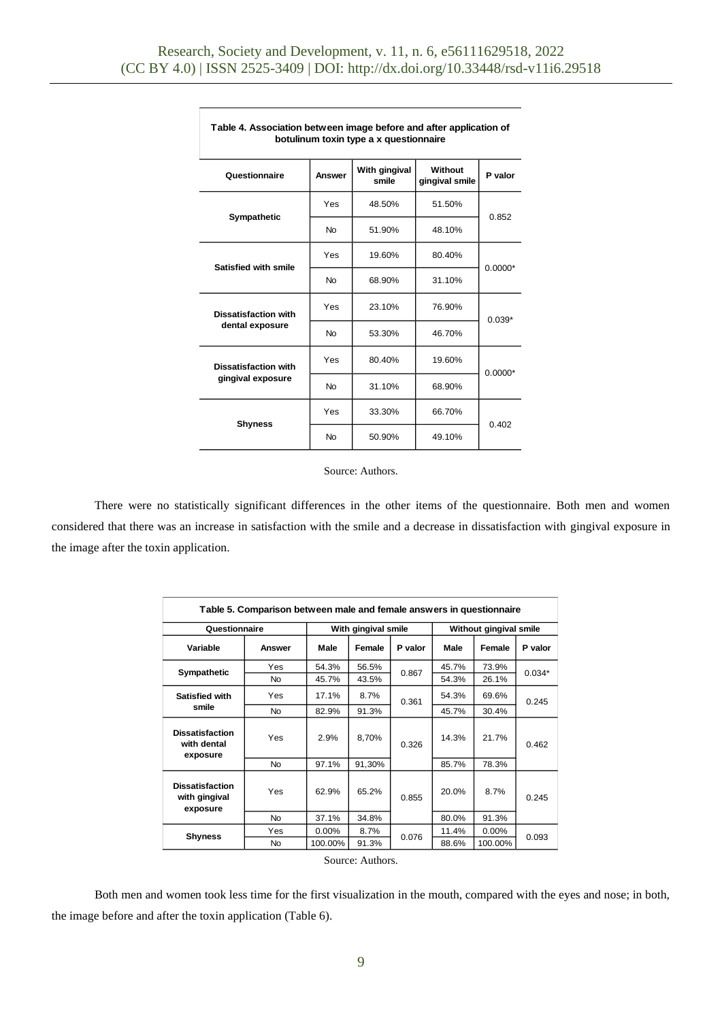| Table 4. Association between image before and after application of<br>botulinum toxin type a x questionnaire |           |                        |                           |           |  |  |  |
|--------------------------------------------------------------------------------------------------------------|-----------|------------------------|---------------------------|-----------|--|--|--|
| Questionnaire                                                                                                | Answer    | With gingival<br>smile | Without<br>gingival smile | P valor   |  |  |  |
| Sympathetic                                                                                                  | Yes       | 48.50%                 | 51.50%                    | 0.852     |  |  |  |
|                                                                                                              | <b>No</b> | 51.90%                 | 48.10%                    |           |  |  |  |
| Satisfied with smile                                                                                         | Yes       | 19.60%                 | 80.40%                    | $0.0000*$ |  |  |  |
|                                                                                                              | <b>No</b> | 68.90%                 | 31.10%                    |           |  |  |  |
| <b>Dissatisfaction with</b>                                                                                  | Yes       | 23.10%                 | 76.90%                    | $0.039*$  |  |  |  |
| dental exposure                                                                                              | <b>No</b> | 53.30%                 | 46.70%                    |           |  |  |  |
| <b>Dissatisfaction with</b>                                                                                  | Yes       | 80.40%                 | 19.60%                    | $0.0000*$ |  |  |  |
| gingival exposure                                                                                            | <b>No</b> | 31.10%                 | 68.90%                    |           |  |  |  |
| <b>Shyness</b>                                                                                               | Yes       | 33.30%                 | 66.70%                    | 0.402     |  |  |  |
|                                                                                                              | <b>No</b> | 50.90%                 | 49.10%                    |           |  |  |  |

Source: Authors.

There were no statistically significant differences in the other items of the questionnaire. Both men and women considered that there was an increase in satisfaction with the smile and a decrease in dissatisfaction with gingival exposure in the image after the toxin application.

| Table 5. Comparison between male and female answers in questionnaire |           |          |                     |         |       |                        |          |  |
|----------------------------------------------------------------------|-----------|----------|---------------------|---------|-------|------------------------|----------|--|
| Questionnaire                                                        |           |          | With gingival smile |         |       | Without gingival smile |          |  |
| Variable                                                             | Answer    | Male     | Female              | P valor | Male  | Female                 | P valor  |  |
| Sympathetic                                                          | Yes       | 54.3%    | 56.5%               |         | 45.7% | 73.9%                  | $0.034*$ |  |
|                                                                      | <b>No</b> | 45.7%    | 43.5%               | 0.867   | 54.3% | 26.1%                  |          |  |
| <b>Satisfied with</b>                                                | Yes       | 17.1%    | 8.7%                | 0.361   | 54.3% | 69.6%                  | 0.245    |  |
| smile                                                                | <b>No</b> | 82.9%    | 91.3%               |         | 45.7% | 30.4%                  |          |  |
| <b>Dissatisfaction</b><br>with dental<br>exposure                    | Yes       | 2.9%     | 8,70%               | 0.326   | 14.3% | 21.7%                  | 0.462    |  |
|                                                                      | <b>No</b> | 97.1%    | 91,30%              |         | 85.7% | 78.3%                  |          |  |
| <b>Dissatisfaction</b><br>with gingival<br>exposure                  | Yes       | 62.9%    | 65.2%               | 0.855   | 20.0% | 8.7%                   | 0.245    |  |
|                                                                      | <b>No</b> | 37.1%    | 34.8%               |         | 80.0% | 91.3%                  |          |  |
| <b>Shyness</b>                                                       | Yes       | $0.00\%$ | 8.7%                | 0.076   | 11.4% | $0.00\%$               | 0.093    |  |
|                                                                      | <b>No</b> | 100.00%  | 91.3%               |         | 88.6% | 100.00%                |          |  |
| Source: Authors.                                                     |           |          |                     |         |       |                        |          |  |

Both men and women took less time for the first visualization in the mouth, compared with the eyes and nose; in both, the image before and after the toxin application (Table 6).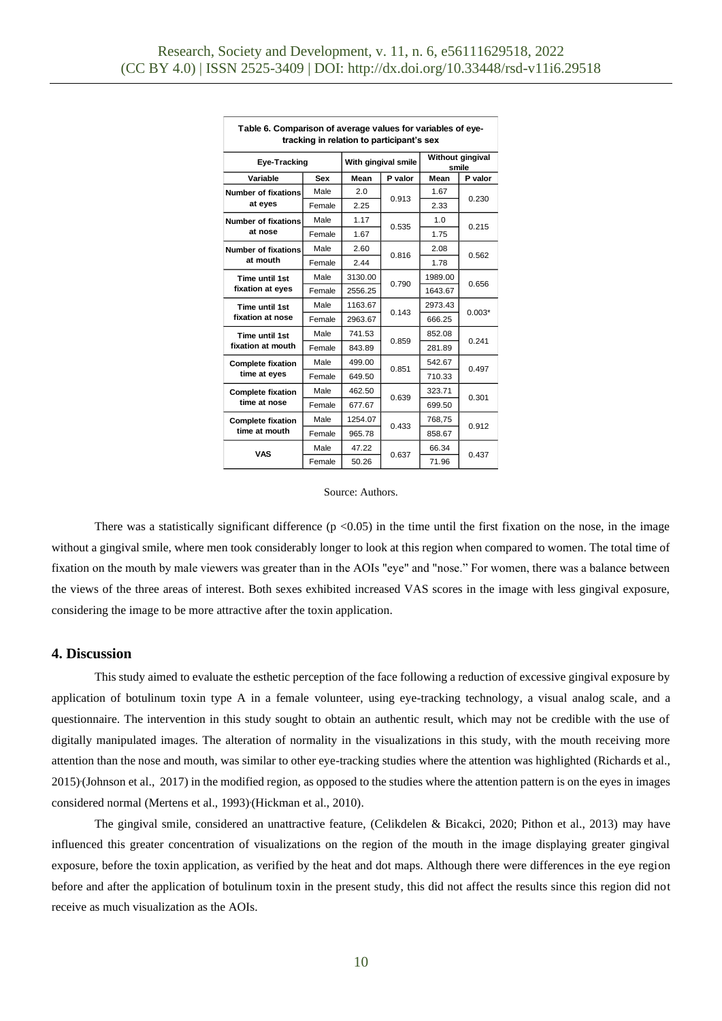| Table 6. Comparison of average values for variables of eye-<br>tracking in relation to participant's sex |        |                     |         |                           |          |  |  |
|----------------------------------------------------------------------------------------------------------|--------|---------------------|---------|---------------------------|----------|--|--|
| Eye-Tracking                                                                                             |        | With gingival smile |         | Without gingival<br>smile |          |  |  |
| Variable                                                                                                 | Sex    | Mean                | P valor | Mean                      | P valor  |  |  |
| <b>Number of fixations</b>                                                                               | Male   | 2.0                 | 0.913   | 1.67                      | 0.230    |  |  |
| at eyes                                                                                                  | Female | 2.25                |         | 2.33                      |          |  |  |
| <b>Number of fixations</b>                                                                               | Male   | 1.17                | 0.535   | 1.0                       | 0.215    |  |  |
| at nose                                                                                                  | Female | 1.67                |         | 1.75                      |          |  |  |
| <b>Number of fixations</b>                                                                               | Male   | 2.60                |         | 2.08                      | 0.562    |  |  |
| at mouth                                                                                                 | Female | 2.44                | 0.816   | 1.78                      |          |  |  |
| Time until 1st                                                                                           | Male   | 3130.00             |         | 1989.00                   | 0.656    |  |  |
| fixation at eyes                                                                                         | Female | 2556.25             | 0.790   | 1643.67                   |          |  |  |
| Time until 1st                                                                                           | Male   | 1163.67             |         | 2973.43                   | $0.003*$ |  |  |
| fixation at nose                                                                                         | Female | 2963.67             | 0.143   | 666.25                    |          |  |  |
| Time until 1st                                                                                           | Male   | 741.53              | 0.859   | 852.08                    | 0.241    |  |  |
| fixation at mouth                                                                                        | Female | 843.89              |         | 281.89                    |          |  |  |
| <b>Complete fixation</b>                                                                                 | Male   | 499.00              |         | 542.67                    | 0.497    |  |  |
| time at eyes                                                                                             | Female | 649.50              | 0.851   | 710.33                    |          |  |  |
| <b>Complete fixation</b>                                                                                 | Male   | 462.50              |         | 323.71                    | 0.301    |  |  |
| time at nose                                                                                             | Female | 677.67              | 0.639   | 699.50                    |          |  |  |
| <b>Complete fixation</b>                                                                                 | Male   | 1254.07             |         | 768,75                    |          |  |  |
| time at mouth                                                                                            | Female | 965.78              | 0.433   | 858.67                    | 0.912    |  |  |
| <b>VAS</b>                                                                                               | Male   | 47.22               |         | 66.34                     |          |  |  |
|                                                                                                          | Female | 50.26               | 0.637   | 71.96                     | 0.437    |  |  |

#### Source: Authors.

There was a statistically significant difference  $(p < 0.05)$  in the time until the first fixation on the nose, in the image without a gingival smile, where men took considerably longer to look at this region when compared to women. The total time of fixation on the mouth by male viewers was greater than in the AOIs "eye" and "nose." For women, there was a balance between the views of the three areas of interest. Both sexes exhibited increased VAS scores in the image with less gingival exposure, considering the image to be more attractive after the toxin application.

#### **4. Discussion**

This study aimed to evaluate the esthetic perception of the face following a reduction of excessive gingival exposure by application of botulinum toxin type A in a female volunteer, using eye-tracking technology, a visual analog scale, and a questionnaire. The intervention in this study sought to obtain an authentic result, which may not be credible with the use of digitally manipulated images. The alteration of normality in the visualizations in this study, with the mouth receiving more attention than the nose and mouth, was similar to other eye-tracking studies where the attention was highlighted (Richards et al., 2015) (Johnson et al., 2017) in the modified region, as opposed to the studies where the attention pattern is on the eyes in images considered normal (Mertens et al., 1993) (Hickman et al., 2010).

The gingival smile, considered an unattractive feature, (Celikdelen & Bicakci, 2020; Pithon et al., 2013) may have influenced this greater concentration of visualizations on the region of the mouth in the image displaying greater gingival exposure, before the toxin application, as verified by the heat and dot maps. Although there were differences in the eye region before and after the application of botulinum toxin in the present study, this did not affect the results since this region did not receive as much visualization as the AOIs.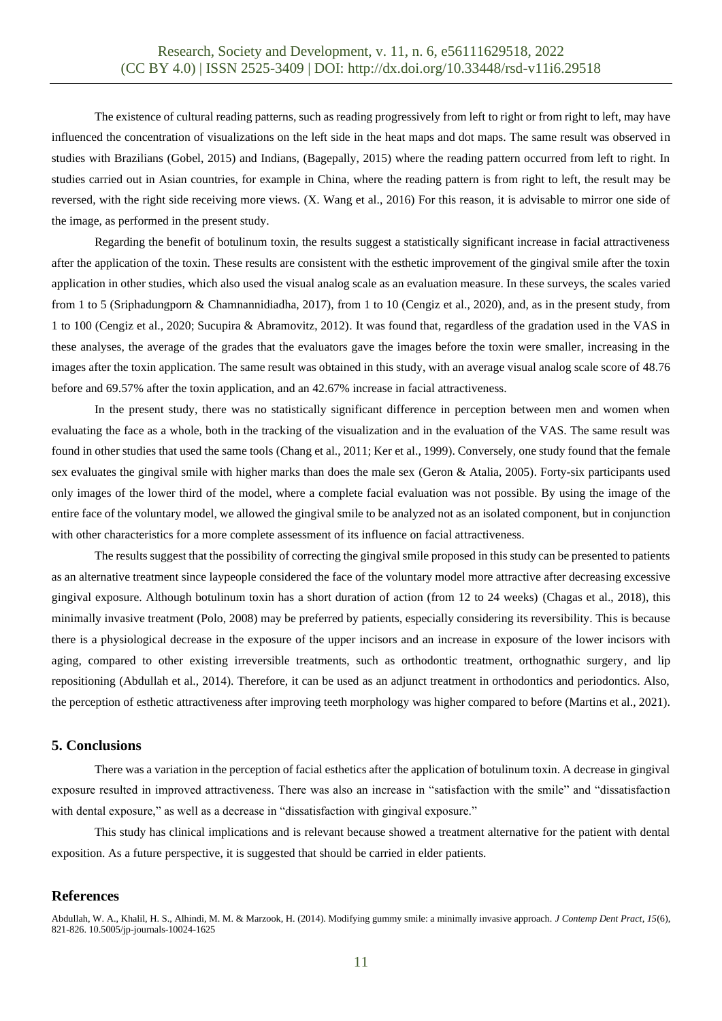The existence of cultural reading patterns, such as reading progressively from left to right or from right to left, may have influenced the concentration of visualizations on the left side in the heat maps and dot maps. The same result was observed in studies with Brazilians (Gobel, 2015) and Indians, (Bagepally, 2015) where the reading pattern occurred from left to right. In studies carried out in Asian countries, for example in China, where the reading pattern is from right to left, the result may be reversed, with the right side receiving more views. (X. Wang et al., 2016) For this reason, it is advisable to mirror one side of the image, as performed in the present study.

Regarding the benefit of botulinum toxin, the results suggest a statistically significant increase in facial attractiveness after the application of the toxin. These results are consistent with the esthetic improvement of the gingival smile after the toxin application in other studies, which also used the visual analog scale as an evaluation measure. In these surveys, the scales varied from 1 to 5 (Sriphadungporn & Chamnannidiadha, 2017), from 1 to 10 (Cengiz et al., 2020), and, as in the present study, from 1 to 100 (Cengiz et al., 2020; Sucupira & Abramovitz, 2012). It was found that, regardless of the gradation used in the VAS in these analyses, the average of the grades that the evaluators gave the images before the toxin were smaller, increasing in the images after the toxin application. The same result was obtained in this study, with an average visual analog scale score of 48.76 before and 69.57% after the toxin application, and an 42.67% increase in facial attractiveness.

In the present study, there was no statistically significant difference in perception between men and women when evaluating the face as a whole, both in the tracking of the visualization and in the evaluation of the VAS. The same result was found in other studies that used the same tools (Chang et al., 2011; Ker et al., 1999). Conversely, one study found that the female sex evaluates the gingival smile with higher marks than does the male sex (Geron & Atalia, 2005). Forty-six participants used only images of the lower third of the model, where a complete facial evaluation was not possible. By using the image of the entire face of the voluntary model, we allowed the gingival smile to be analyzed not as an isolated component, but in conjunction with other characteristics for a more complete assessment of its influence on facial attractiveness.

The results suggest that the possibility of correcting the gingival smile proposed in this study can be presented to patients as an alternative treatment since laypeople considered the face of the voluntary model more attractive after decreasing excessive gingival exposure. Although botulinum toxin has a short duration of action (from 12 to 24 weeks) (Chagas et al., 2018), this minimally invasive treatment (Polo, 2008) may be preferred by patients, especially considering its reversibility. This is because there is a physiological decrease in the exposure of the upper incisors and an increase in exposure of the lower incisors with aging, compared to other existing irreversible treatments, such as orthodontic treatment, orthognathic surgery, and lip repositioning (Abdullah et al., 2014). Therefore, it can be used as an adjunct treatment in orthodontics and periodontics. Also, the perception of esthetic attractiveness after improving teeth morphology was higher compared to before (Martins et al., 2021).

### **5. Conclusions**

There was a variation in the perception of facial esthetics after the application of botulinum toxin. A decrease in gingival exposure resulted in improved attractiveness. There was also an increase in "satisfaction with the smile" and "dissatisfaction with dental exposure," as well as a decrease in "dissatisfaction with gingival exposure."

This study has clinical implications and is relevant because showed a treatment alternative for the patient with dental exposition. As a future perspective, it is suggested that should be carried in elder patients.

### **References**

Abdullah, W. A., Khalil, H. S., Alhindi, M. M. & Marzook, H. (2014). Modifying gummy smile: a minimally invasive approach. *J Contemp Dent Pract, 15*(6), 821-826. 10.5005/jp-journals-10024-1625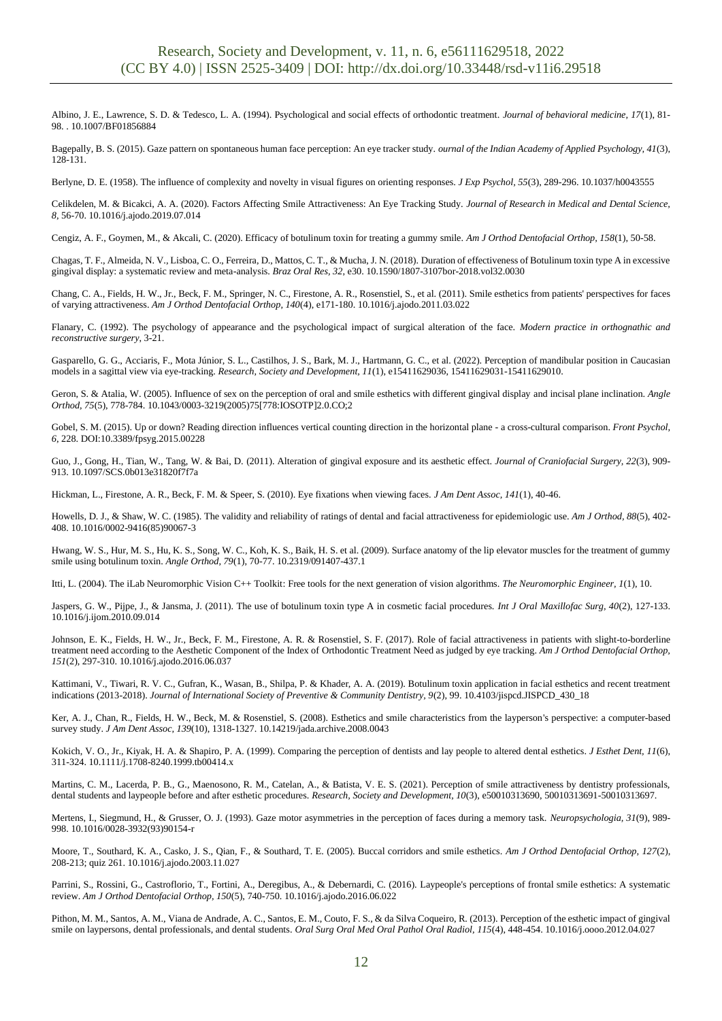Albino, J. E., Lawrence, S. D. & Tedesco, L. A. (1994). Psychological and social effects of orthodontic treatment. *Journal of behavioral medicine, 17*(1), 81- 98. . 10.1007/BF01856884

Bagepally, B. S. (2015). Gaze pattern on spontaneous human face perception: An eye tracker study. *ournal of the Indian Academy of Applied Psychology, 41*(3), 128-131.

Berlyne, D. E. (1958). The influence of complexity and novelty in visual figures on orienting responses. *J Exp Psychol, 55*(3), 289-296. 10.1037/h0043555

Celikdelen, M. & Bicakci, A. A. (2020). Factors Affecting Smile Attractiveness: An Eye Tracking Study. *Journal of Research in Medical and Dental Science, 8*, 56-70. 10.1016/j.ajodo.2019.07.014

Cengiz, A. F., Goymen, M., & Akcali, C. (2020). Efficacy of botulinum toxin for treating a gummy smile. *Am J Orthod Dentofacial Orthop, 158*(1), 50-58.

Chagas, T. F., Almeida, N. V., Lisboa, C. O., Ferreira, D., Mattos, C. T., & Mucha, J. N. (2018). Duration of effectiveness of Botulinum toxin type A in excessive gingival display: a systematic review and meta-analysis. *Braz Oral Res, 32*, e30. 10.1590/1807-3107bor-2018.vol32.0030

Chang, C. A., Fields, H. W., Jr., Beck, F. M., Springer, N. C., Firestone, A. R., Rosenstiel, S., et al. (2011). Smile esthetics from patients' perspectives for faces of varying attractiveness. *Am J Orthod Dentofacial Orthop, 140*(4), e171-180. 10.1016/j.ajodo.2011.03.022

Flanary, C. (1992). The psychology of appearance and the psychological impact of surgical alteration of the face. *Modern practice in orthognathic and reconstructive surgery*, 3-21.

Gasparello, G. G., Acciaris, F., Mota Júnior, S. L., Castilhos, J. S., Bark, M. J., Hartmann, G. C., et al. (2022). Perception of mandibular position in Caucasian models in a sagittal view via eye-tracking. *Research, Society and Development, 11*(1), e15411629036, 15411629031-15411629010.

Geron, S. & Atalia, W. (2005). Influence of sex on the perception of oral and smile esthetics with different gingival display and incisal plane inclination. *Angle Orthod, 75*(5), 778-784. 10.1043/0003-3219(2005)75[778:IOSOTP]2.0.CO;2

Gobel, S. M. (2015). Up or down? Reading direction influences vertical counting direction in the horizontal plane - a cross-cultural comparison. *Front Psychol, 6*, 228. DOI:10.3389/fpsyg.2015.00228

Guo, J., Gong, H., Tian, W., Tang, W. & Bai, D. (2011). Alteration of gingival exposure and its aesthetic effect. *Journal of Craniofacial Surgery, 22*(3), 909- 913. 10.1097/SCS.0b013e31820f7f7a

Hickman, L., Firestone, A. R., Beck, F. M. & Speer, S. (2010). Eye fixations when viewing faces. *J Am Dent Assoc, 141*(1), 40-46.

Howells, D. J., & Shaw, W. C. (1985). The validity and reliability of ratings of dental and facial attractiveness for epidemiologic use. *Am J Orthod, 88*(5), 402- 408. 10.1016/0002-9416(85)90067-3

Hwang, W. S., Hur, M. S., Hu, K. S., Song, W. C., Koh, K. S., Baik, H. S. et al. (2009). Surface anatomy of the lip elevator muscles for the treatment of gummy smile using botulinum toxin. *Angle Orthod, 79*(1), 70-77. 10.2319/091407-437.1

Itti, L. (2004). The iLab Neuromorphic Vision C++ Toolkit: Free tools for the next generation of vision algorithms. *The Neuromorphic Engineer, 1*(1), 10.

Jaspers, G. W., Pijpe, J., & Jansma, J. (2011). The use of botulinum toxin type A in cosmetic facial procedures. *Int J Oral Maxillofac Surg, 40*(2), 127-133. 10.1016/j.ijom.2010.09.014

Johnson, E. K., Fields, H. W., Jr., Beck, F. M., Firestone, A. R. & Rosenstiel, S. F. (2017). Role of facial attractiveness in patients with slight-to-borderline treatment need according to the Aesthetic Component of the Index of Orthodontic Treatment Need as judged by eye tracking. *Am J Orthod Dentofacial Orthop, 151*(2), 297-310. 10.1016/j.ajodo.2016.06.037

Kattimani, V., Tiwari, R. V. C., Gufran, K., Wasan, B., Shilpa, P. & Khader, A. A. (2019). Botulinum toxin application in facial esthetics and recent treatment indications (2013-2018). *Journal of International Society of Preventive & Community Dentistry, 9*(2), 99. 10.4103/jispcd.JISPCD\_430\_18

Ker, A. J., Chan, R., Fields, H. W., Beck, M. & Rosenstiel, S. (2008). Esthetics and smile characteristics from the layperson's perspective: a computer-based survey study. *J Am Dent Assoc, 139*(10), 1318-1327. 10.14219/jada.archive.2008.0043

Kokich, V. O., Jr., Kiyak, H. A. & Shapiro, P. A. (1999). Comparing the perception of dentists and lay people to altered dental esthetics. *J Esthet Dent, 11*(6), 311-324. 10.1111/j.1708-8240.1999.tb00414.x

Martins, C. M., Lacerda, P. B., G., Maenosono, R. M., Catelan, A., & Batista, V. E. S. (2021). Perception of smile attractiveness by dentistry professionals, dental students and laypeople before and after esthetic procedures. *Research, Society and Development, 10*(3), e50010313690, 50010313691-50010313697.

Mertens, I., Siegmund, H., & Grusser, O. J. (1993). Gaze motor asymmetries in the perception of faces during a memory task. *Neuropsychologia, 31*(9), 989- 998. 10.1016/0028-3932(93)90154-r

Moore, T., Southard, K. A., Casko, J. S., Qian, F., & Southard, T. E. (2005). Buccal corridors and smile esthetics. *Am J Orthod Dentofacial Orthop, 127*(2), 208-213; quiz 261. 10.1016/j.ajodo.2003.11.027

Parrini, S., Rossini, G., Castroflorio, T., Fortini, A., Deregibus, A., & Debernardi, C. (2016). Laypeople's perceptions of frontal smile esthetics: A systematic review. *Am J Orthod Dentofacial Orthop, 150*(5), 740-750. 10.1016/j.ajodo.2016.06.022

Pithon, M. M., Santos, A. M., Viana de Andrade, A. C., Santos, E. M., Couto, F. S., & da Silva Coqueiro, R. (2013). Perception of the esthetic impact of gingival smile on laypersons, dental professionals, and dental students. *Oral Surg Oral Med Oral Pathol Oral Radiol, 115*(4), 448-454. 10.1016/j.oooo.2012.04.027